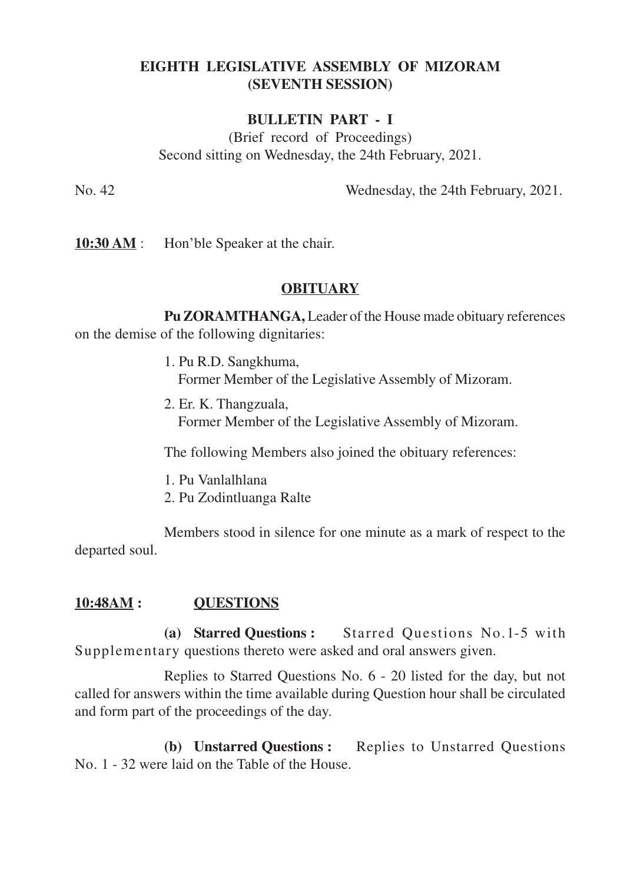# **EIGHTH LEGISLATIVE ASSEMBLY OF MIZORAM (SEVENTH SESSION)**

#### **BULLETIN PART - I**

(Brief record of Proceedings) Second sitting on Wednesday, the 24th February, 2021.

No. 42 Wednesday, the 24th February, 2021.

**10:30 AM** : Hon'ble Speaker at the chair.

## **OBITUARY**

**Pu ZORAMTHANGA,** Leader of the House made obituary references on the demise of the following dignitaries:

- 1. Pu R.D. Sangkhuma, Former Member of the Legislative Assembly of Mizoram.
- 2. Er. K. Thangzuala, Former Member of the Legislative Assembly of Mizoram.

The following Members also joined the obituary references:

- 1. Pu Vanlalhlana
- 2. Pu Zodintluanga Ralte

Members stood in silence for one minute as a mark of respect to the departed soul.

### **10:48AM : QUESTIONS**

**(a) Starred Questions :** Starred Questions No.1-5 with Supplementary questions thereto were asked and oral answers given.

Replies to Starred Questions No. 6 - 20 listed for the day, but not called for answers within the time available during Question hour shall be circulated and form part of the proceedings of the day.

**(b) Unstarred Questions :** Replies to Unstarred Questions No. 1 - 32 were laid on the Table of the House.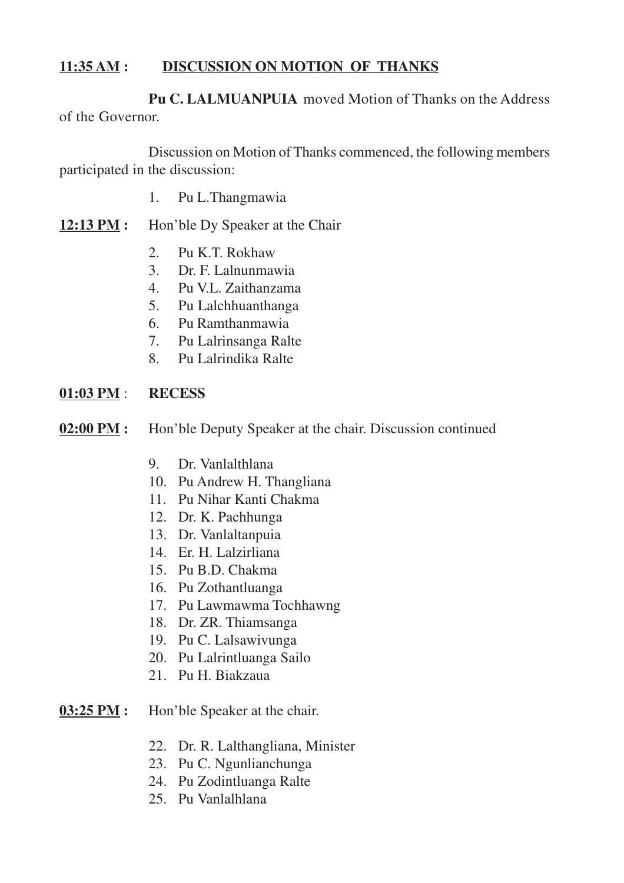## **11:35 AM : DISCUSSION ON MOTION OF THANKS**

**Pu C. LALMUANPUIA** moved Motion of Thanks on the Address of the Governor.

Discussion on Motion of Thanks commenced, the following members participated in the discussion:

- 1. Pu L.Thangmawia
- **12:13 PM :** Hon'ble Dy Speaker at the Chair
	- 2. Pu K.T. Rokhaw
	- 3. Dr. F. Lalnunmawia
	- 4. Pu V.L. Zaithanzama
	- 5. Pu Lalchhuanthanga
	- 6. Pu Ramthanmawia
	- 7. Pu Lalrinsanga Ralte
	- 8. Pu Lalrindika Ralte

#### **01:03 PM** : **RECESS**

- **02:00 PM :** Hon'ble Deputy Speaker at the chair. Discussion continued
	- 9. Dr. Vanlalthlana
	- 10. Pu Andrew H. Thangliana
	- 11. Pu Nihar Kanti Chakma
	- 12. Dr. K. Pachhunga
	- 13. Dr. Vanlaltanpuia
	- 14. Er. H. Lalzirliana
	- 15. Pu B.D. Chakma
	- 16. Pu Zothantluanga
	- 17. Pu Lawmawma Tochhawng
	- 18. Dr. ZR. Thiamsanga
	- 19. Pu C. Lalsawivunga
	- 20. Pu Lalrintluanga Sailo
	- 21. Pu H. Biakzaua
- **03:25 PM :** Hon'ble Speaker at the chair.
	- 22. Dr. R. Lalthangliana, Minister
	- 23. Pu C. Ngunlianchunga
	- 24. Pu Zodintluanga Ralte
	- 25. Pu Vanlalhlana